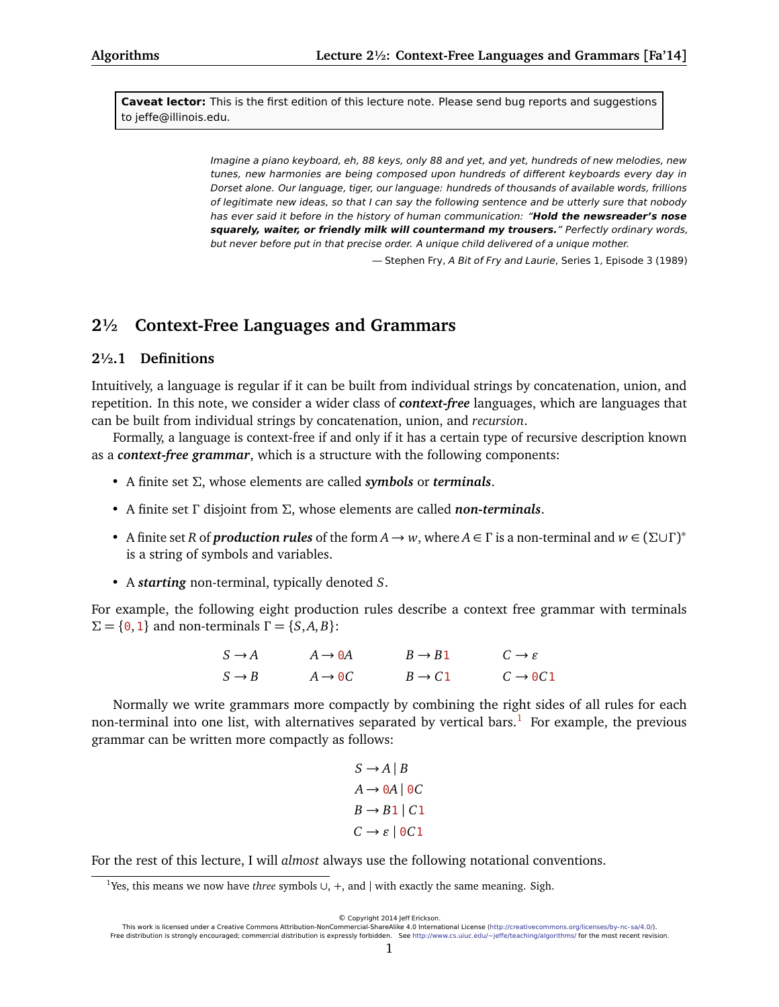**Caveat lector:** This is the first edition of this lecture note. Please send bug reports and suggestions to jeffe@illinois.edu.

> Imagine a piano keyboard, eh, 88 keys, only 88 and yet, and yet, hundreds of new melodies, new tunes, new harmonies are being composed upon hundreds of different keyboards every day in Dorset alone. Our language, tiger, our language: hundreds of thousands of available words, frillions of legitimate new ideas, so that I can say the following sentence and be utterly sure that nobody has ever said it before in the history of human communication: "**Hold the newsreader's nose squarely, waiter, or friendly milk will countermand my trousers.**" Perfectly ordinary words, but never before put in that precise order. A unique child delivered of a unique mother.

— Stephen Fry, A Bit of Fry and Laurie, Series 1, Episode 3 (1989)

# **2½ Context-Free Languages and Grammars**

### **2½.1 Definitions**

Intuitively, a language is regular if it can be built from individual strings by concatenation, union, and repetition. In this note, we consider a wider class of *context-free* languages, which are languages that can be built from individual strings by concatenation, union, and *recursion*.

Formally, a language is context-free if and only if it has a certain type of recursive description known as a *context-free grammar*, which is a structure with the following components:

- A finite set *Σ*, whose elements are called *symbols* or *terminals*.
- A finite set *Γ* disjoint from *Σ*, whose elements are called *non-terminals*.
- A finite set *R* of *production rules* of the form  $A \to w$ , where  $A \in \Gamma$  is a non-terminal and  $w \in (\Sigma \cup \Gamma)^*$ is a string of symbols and variables.
- A *starting* non-terminal, typically denoted *S*.

For example, the following eight production rules describe a context free grammar with terminals *Σ* = {**0**, 1} and non-terminals Γ = {*S*,*A*, *B*}:

| $S \rightarrow A$ | $A \rightarrow \Theta A$ | $B \rightarrow B1$ | $C \rightarrow \varepsilon$ |
|-------------------|--------------------------|--------------------|-----------------------------|
| $S \rightarrow B$ | $A \rightarrow \Theta C$ | $B \rightarrow C1$ | $C \rightarrow 0C1$         |

Normally we write grammars more compactly by combining the right sides of all rules for each non-terminal into one list, with alternatives separated by vertical bars.<sup>[1](#page-0-0)</sup> For example, the previous grammar can be written more compactly as follows:

$$
S \rightarrow A | B
$$

$$
A \rightarrow 0A | 0C
$$

$$
B \rightarrow B1 | C1
$$

$$
C \rightarrow \varepsilon | 0C1
$$

For the rest of this lecture, I will *almost* always use the following notational conventions.

© Copyright 2014 Jeff Erickson.

<span id="page-0-0"></span><sup>1</sup>Yes, this means we now have *three* symbols ∪, +, and | with exactly the same meaning. Sigh.

This work is licensed under a Creative Commons Attribution-NonCommercial-ShareAlike 4.0 International License [\(http://creativecommons.org/licenses/by-nc-sa/4.0/\)](http://creativecommons.org/licenses/by-nc-sa/4.0/). Free distribution is strongly encouraged; commercial distribution is expressly forbidden. See <http://www.cs.uiuc.edu/~jeffe/teaching/algorithms/> for the most recent revision.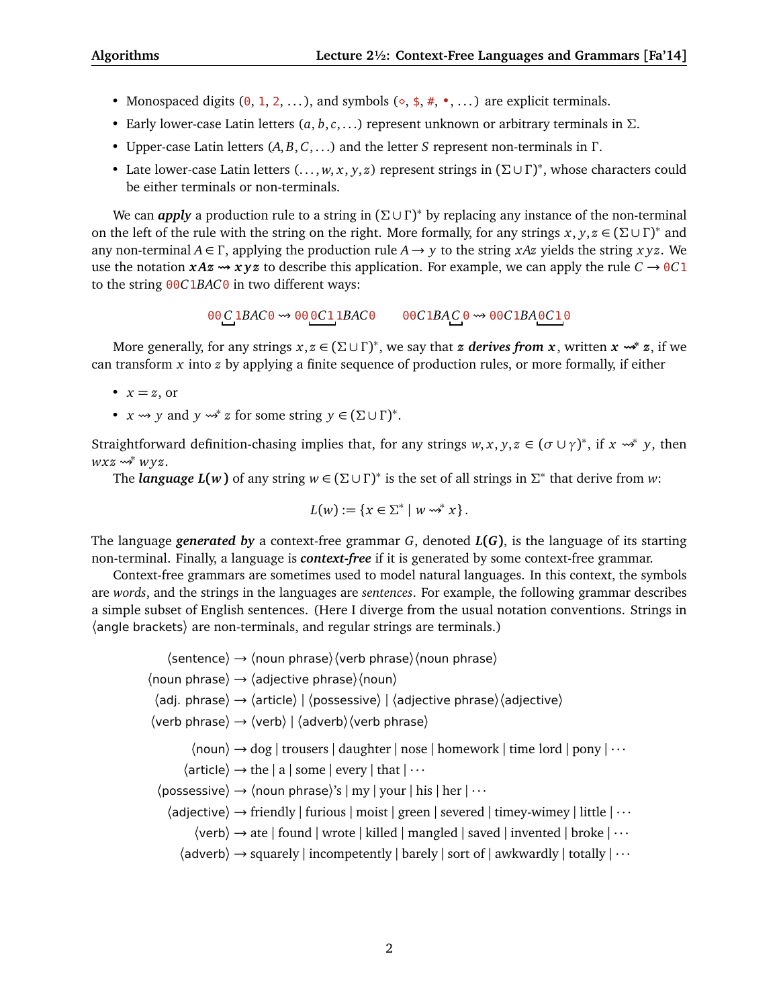- Monospaced digits  $(0, 1, 2, ...)$ , and symbols  $(\diamond, \frac{4}{3}, \frac{4}{3}, \ldots)$  are explicit terminals.
- Early lower-case Latin letters (*a*, *b*,*c*, . . .) represent unknown or arbitrary terminals in *Σ*.
- Upper-case Latin letters (*A*, *B*, *C*, . . .) and the letter *S* represent non-terminals in *Γ* .
- Late lower-case Latin letters (. . . , *w*, *x*, *y*, *z*) represent strings in (*Σ* ∪ *Γ* ) ∗ , whose characters could be either terminals or non-terminals.

We can *apply* a production rule to a string in (Σ∪Γ)<sup>\*</sup> by replacing any instance of the non-terminal on the left of the rule with the string on the right. More formally, for any strings  $x, y, z \in (\Sigma \cup \Gamma)^*$  and any non-terminal  $A \in \Gamma$ , applying the production rule  $A \rightarrow y$  to the string *xAz* yields the string *xyz*. We use the notation  $xAx \rightarrow xyz$  to describe this application. For example, we can apply the rule  $C \rightarrow 0 \text{C}1$ to the string 00*C*1*BAC*0 in two different ways:

00 *C* 1*BAC*0 00 0*C*1 1*BAC*0 00*C*1*BAC* 0 00*C*1*BA*0*C*1 0

More generally, for any strings *x*, *z* ∈ (*Σ* ∪ *Γ* ) ∗ , we say that *z derives from x*, written *x*  **<sup>∗</sup>** *z*, if we can transform *x* into *z* by applying a finite sequence of production rules, or more formally, if either

- $x = z$ , or
- $x \rightsquigarrow y$  and  $y \rightsquigarrow^* z$  for some string  $y \in (\Sigma \cup \Gamma)^*$ .

Straightforward definition-chasing implies that, for any strings  $w, x, y, z \in (\sigma \cup \gamma)^*$ , if  $x \leadsto^* y$ , then *wxz* ₩\* *wyz*.

The *language L*(*w*) of any string  $w \in (\Sigma \cup \Gamma)^*$  is the set of all strings in  $\Sigma^*$  that derive from *w*:

$$
L(w) := \{x \in \Sigma^* \mid w \rightsquigarrow^* x\}.
$$

The language *generated by* a context-free grammar *G*, denoted *L***(***G***)**, is the language of its starting non-terminal. Finally, a language is *context-free* if it is generated by some context-free grammar.

Context-free grammars are sometimes used to model natural languages. In this context, the symbols are *words*, and the strings in the languages are *sentences*. For example, the following grammar describes a simple subset of English sentences. (Here I diverge from the usual notation conventions. Strings in 〈angle brackets〉 are non-terminals, and regular strings are terminals.)

 $\langle$ sentence $\rangle \rightarrow \langle$ noun phrase $\rangle \langle$ verb phrase $\rangle \langle$ noun phrase $\rangle$  $\langle$  noun phrase $\rangle \rightarrow \langle$  adjective phrase $\rangle \langle$  noun $\rangle$  $\langle$ adj. phrase $\rangle \rightarrow \langle$ article $\rangle$  |  $\langle$ possessive $\rangle$  |  $\langle$ adjective phrase $\rangle$  $\langle$ adjective $\rangle$  $\langle$ verb phrase $\rangle \rightarrow \langle$ verb $\rangle$  |  $\langle$ adverb $\rangle$  $\langle$ verb phrase $\rangle$  $\langle$  noun $\rangle$   $\rightarrow$  dog | trousers | daughter | nose | homework | time lord | pony |  $\cdots$  $\langle$  article $\rangle \rightarrow$  the | a | some | every | that |  $\cdots$  $\langle$  possessive $\rangle \rightarrow \langle$  noun phrase $\rangle$ 's | my | your | his | her |  $\cdots$  $\langle$ adjective $\rangle \rightarrow$  friendly | furious | moist | green | severed | timey-wimey | little |  $\cdots$  $\langle$ verb $\rangle$   $\rightarrow$  ate | found | wrote | killed | mangled | saved | invented | broke |  $\cdots$  $\langle$ adverb $\rangle \rightarrow$  squarely | incompetently | barely | sort of | awkwardly | totally |  $\cdots$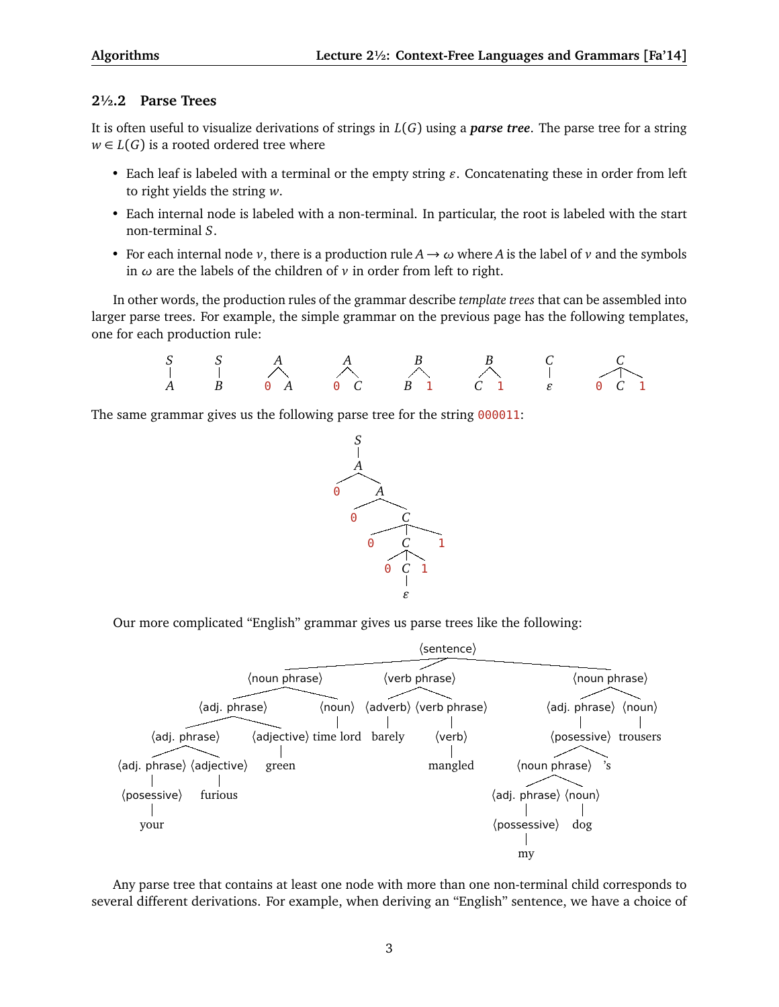## **2½.2 Parse Trees**

It is often useful to visualize derivations of strings in *L*(*G*) using a *parse tree*. The parse tree for a string  $w \in L(G)$  is a rooted ordered tree where

- Each leaf is labeled with a terminal or the empty string  $\varepsilon$ . Concatenating these in order from left to right yields the string *w*.
- Each internal node is labeled with a non-terminal. In particular, the root is labeled with the start non-terminal *S*.
- For each internal node *v*, there is a production rule  $A \rightarrow \omega$  where *A* is the label of *v* and the symbols in *ω* are the labels of the children of *v* in order from left to right.

In other words, the production rules of the grammar describe *template trees* that can be assembled into larger parse trees. For example, the simple grammar on the previous page has the following templates, one for each production rule:

*S A S B A* 0 *A A* 0 *C B B* 1 *B C* 1 *C " C* 0 *C* 1

The same grammar gives us the following parse tree for the string 000011:



Our more complicated "English" grammar gives us parse trees like the following:



Any parse tree that contains at least one node with more than one non-terminal child corresponds to several different derivations. For example, when deriving an "English" sentence, we have a choice of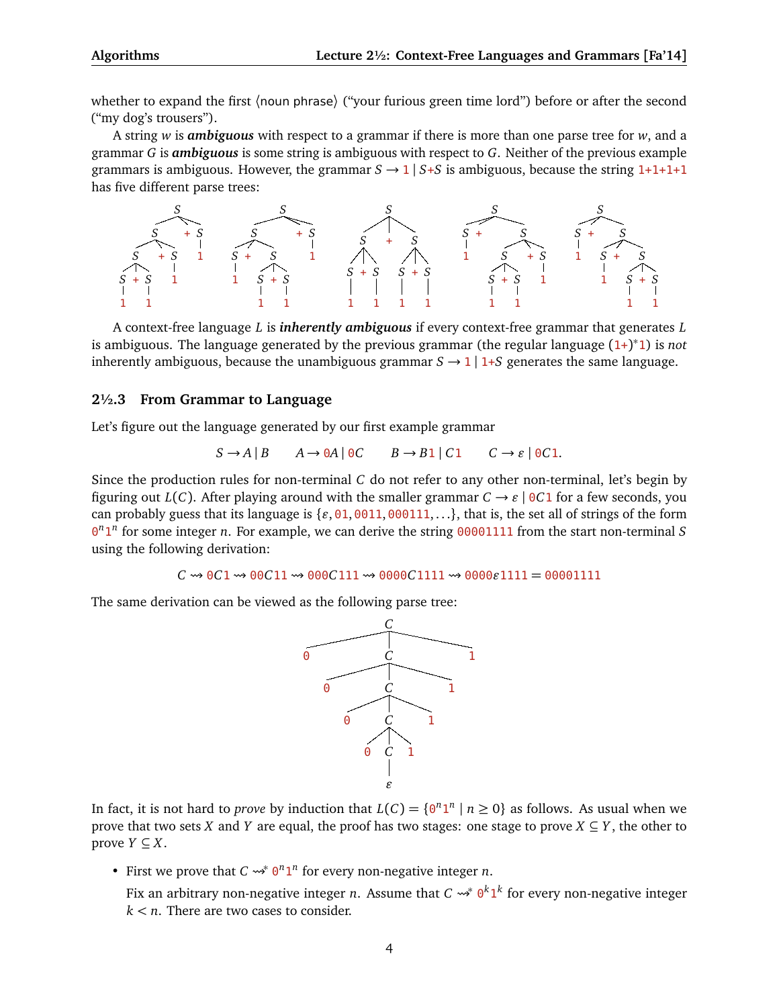whether to expand the first (noun phrase) ("your furious green time lord") before or after the second ("my dog's trousers").

A string *w* is *ambiguous* with respect to a grammar if there is more than one parse tree for *w*, and a grammar *G* is *ambiguous* is some string is ambiguous with respect to *G*. Neither of the previous example grammars is ambiguous. However, the grammar  $S \rightarrow 1 \mid S+S$  is ambiguous, because the string  $1+1+1+1$ has five different parse trees:



A context-free language *L* is *inherently ambiguous* if every context-free grammar that generates *L* is ambiguous. The language generated by the previous grammar (the regular language (1+) ∗ 1) is *not* inherently ambiguous, because the unambiguous grammar  $S \rightarrow 1 \mid 1+S$  generates the same language.

### **2½.3 From Grammar to Language**

Let's figure out the language generated by our first example grammar

$$
S \to A \mid B \qquad A \to 0A \mid 0C \qquad B \to B1 \mid C1 \qquad C \to \varepsilon \mid 0C1.
$$

Since the production rules for non-terminal *C* do not refer to any other non-terminal, let's begin by figuring out *L*(*C*). After playing around with the smaller grammar  $C \rightarrow \varepsilon$  | 0*C*1 for a few seconds, you can probably guess that its language is  $\{e, 01, 0011, 000111, ...\}$ , that is, the set all of strings of the form 0 *n* 1 *n* for some integer *n*. For example, we can derive the string 00001111 from the start non-terminal *S* using the following derivation:

 $C \rightarrow 0C1 \rightarrow 00C11 \rightarrow 000C111 \rightarrow 0000C1111 \rightarrow 0000e1111 = 00001111$ 

The same derivation can be viewed as the following parse tree:



In fact, it is not hard to *prove* by induction that  $L(C) = \{0^n 1^n | n \ge 0\}$  as follows. As usual when we prove that two sets *X* and *Y* are equal, the proof has two stages: one stage to prove  $X \subseteq Y$ , the other to prove *Y* ⊆ *X*.

• First we prove that  $C \rightsquigarrow^* 0^n 1^n$  for every non-negative integer *n*.

Fix an arbitrary non-negative integer *n*. Assume that  $C \leadsto^* 0^k 1^k$  for every non-negative integer *k < n*. There are two cases to consider.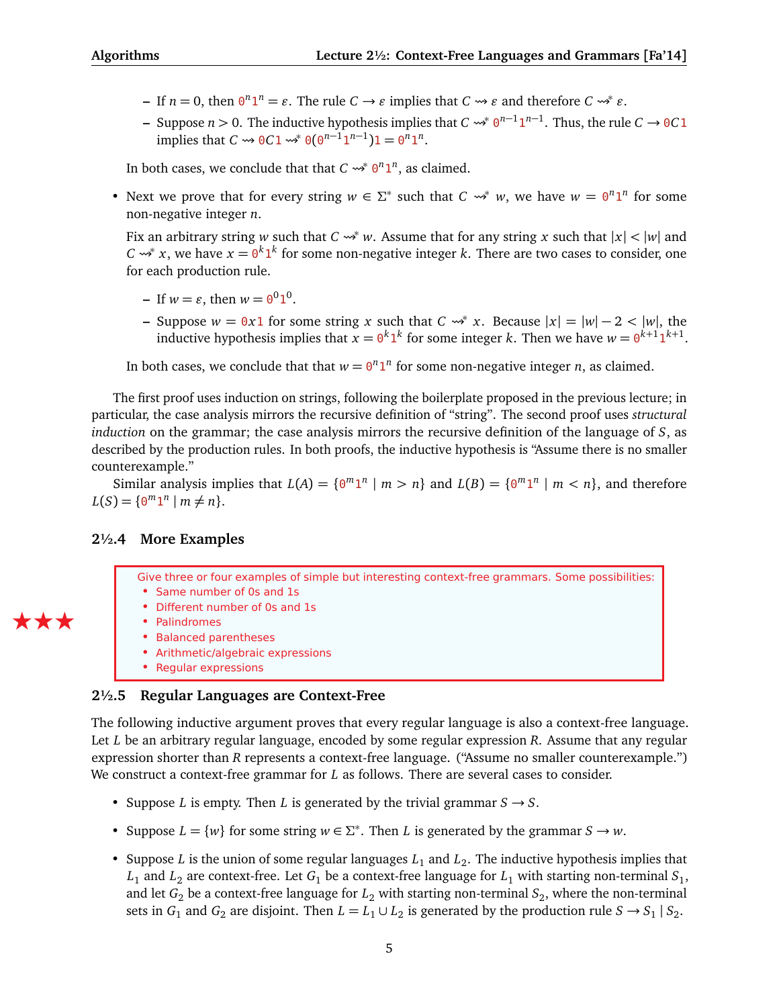- $-$  If  $n = 0$ , then  $\theta^n 1^n = \varepsilon$ . The rule  $C \to \varepsilon$  implies that  $C \leadsto \varepsilon$  and therefore  $C \leadsto^* \varepsilon$ .
- $\rightarrow$  Suppose *n* > 0. The inductive hypothesis implies that *C*  $\rightarrow$ <sup>*\**</sup>  $\theta$ <sup>*n*−1</sup>**1**<sup>*n*−1</sup>. Thus, the rule *C*  $\rightarrow$  0*C***1** implies that *C*  $\rightarrow 0$   $0$   $0$   $\rightarrow 0$   $(0^{n-1}1^{n-1})$   $1 = 0^{n}1^{n}$ .

In both cases, we conclude that that  $C \rightsquigarrow^* 0^n 1^n$ , as claimed.

• Next we prove that for every string  $w \in \Sigma^*$  such that  $C \rightsquigarrow^* w$ , we have  $w = 0^n 1^n$  for some non-negative integer *n*.

Fix an arbitrary string *w* such that *C*  $\rightsquigarrow^* w$ . Assume that for any string *x* such that  $|x| < |w|$  and *C*  $\rightarrow$  *x*, we have  $x = 0^k 1^k$  for some non-negative integer *k*. There are two cases to consider, one for each production rule.

- $-$  If  $w = \varepsilon$ , then  $w = \theta^0 1^0$ .
- **−** Suppose  $w = 0x1$  for some string *x* such that  $C \rightsquigarrow^* x$ . Because  $|x| = |w| 2 < |w|$ , the inductive hypothesis implies that  $x = 0^k 1^k$  for some integer *k*. Then we have  $w = 0^{k+1} 1^{k+1}$ .

In both cases, we conclude that that  $w = \theta^n 1^n$  for some non-negative integer *n*, as claimed.

The first proof uses induction on strings, following the boilerplate proposed in the previous lecture; in particular, the case analysis mirrors the recursive definition of "string". The second proof uses *structural induction* on the grammar; the case analysis mirrors the recursive definition of the language of *S*, as described by the production rules. In both proofs, the inductive hypothesis is "Assume there is no smaller counterexample."

Similar analysis implies that  $L(A) = \{0^m 1^n \mid m > n\}$  and  $L(B) = \{0^m 1^n \mid m < n\}$ , and therefore  $L(S) = \{ \Theta^m \mathbf{1}^n \mid m \neq n \}.$ 

## **2½.4 More Examples**

Give three or four examples of simple but interesting context-free grammars. Some possibilities: • Same number of 0s and 1s

- Different number of 0s and 1s
- Palindromes

ÆÆÆ

- Balanced parentheses
- Arithmetic/algebraic expressions
- Regular expressions

## **2½.5 Regular Languages are Context-Free**

The following inductive argument proves that every regular language is also a context-free language. Let *L* be an arbitrary regular language, encoded by some regular expression *R*. Assume that any regular expression shorter than *R* represents a context-free language. ("Assume no smaller counterexample.") We construct a context-free grammar for *L* as follows. There are several cases to consider.

- Suppose *L* is empty. Then *L* is generated by the trivial grammar  $S \rightarrow S$ .
- Suppose  $L = \{w\}$  for some string  $w \in \Sigma^*$ . Then *L* is generated by the grammar  $S \to w$ .
- Suppose *L* is the union of some regular languages  $L_1$  and  $L_2$ . The inductive hypothesis implies that  $L_1$  and  $L_2$  are context-free. Let  $G_1$  be a context-free language for  $L_1$  with starting non-terminal  $S_1$ , and let  $G_2$  be a context-free language for  $L_2$  with starting non-terminal  $S_2$ , where the non-terminal sets in  $G_1$  and  $G_2$  are disjoint. Then  $L = L_1 \cup L_2$  is generated by the production rule  $S \to S_1 \mid S_2$ .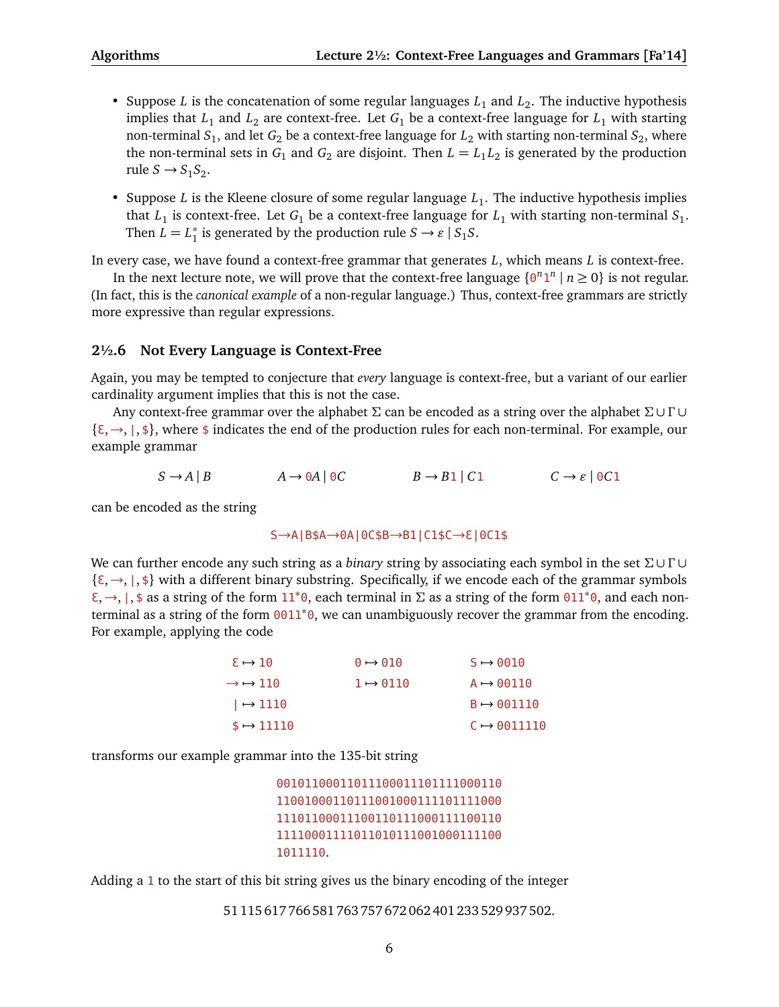- Suppose *L* is the concatenation of some regular languages  $L_1$  and  $L_2$ . The inductive hypothesis implies that  $L_1$  and  $L_2$  are context-free. Let  $G_1$  be a context-free language for  $L_1$  with starting non-terminal  $S_1$ , and let  $G_2$  be a context-free language for  $L_2$  with starting non-terminal  $S_2$ , where the non-terminal sets in  $G_1$  and  $G_2$  are disjoint. Then  $L = L_1 L_2$  is generated by the production rule  $S \rightarrow S_1 S_2$ .
- Suppose *L* is the Kleene closure of some regular language  $L_1$ . The inductive hypothesis implies that  $L_1$  is context-free. Let  $G_1$  be a context-free language for  $L_1$  with starting non-terminal  $S_1$ . Then  $\overline{L} = L_1^*$  $\frac{1}{1}$  is generated by the production rule  $S \rightarrow \varepsilon \mid S_1 S$ .

In every case, we have found a context-free grammar that generates *L*, which means *L* is context-free.

In the next lecture note, we will prove that the context-free language  $\{0^n 1^n \mid n \ge 0\}$  is not regular. (In fact, this is the *canonical example* of a non-regular language.) Thus, context-free grammars are strictly more expressive than regular expressions.

### **2½.6 Not Every Language is Context-Free**

Again, you may be tempted to conjecture that *every* language is context-free, but a variant of our earlier cardinality argument implies that this is not the case.

Any context-free grammar over the alphabet *Σ* can be encoded as a string over the alphabet *Σ* ∪ *Γ* ∪  $\{\xi, \rightarrow, \xi\}$ , where \$ indicates the end of the production rules for each non-terminal. For example, our example grammar

 $S \rightarrow A \mid B$   $A \rightarrow 0A \mid 0C$   $B \rightarrow B1 \mid C1$   $C \rightarrow \varepsilon \mid 0C1$ 

can be encoded as the string

#### S→A|B\$A→0A|0C\$B→B1|C1\$C→ <sup>3</sup>|0C1\$

We can further encode any such string as a *binary* string by associating each symbol in the set *Σ* ∪ *Γ* ∪  $\{\epsilon, \rightarrow, \mid, \$\}$  with a different binary substring. Specifically, if we encode each of the grammar symbols <sup>3</sup>,→, <sup>|</sup>, \$ as a string of the form <sup>11</sup><sup>∗</sup> <sup>0</sup>, each terminal in *Σ* as a string of the form <sup>011</sup><sup>∗</sup> 0, and each nonterminal as a string of the form 0011<sup>\*</sup>0, we can unambiguously recover the grammar from the encoding. For example, applying the code

| $\epsilon \mapsto 10$           | $\theta \rightarrow \theta$ 10 | $S \rightarrow 0010$    |
|---------------------------------|--------------------------------|-------------------------|
| $\rightarrow$ $\rightarrow$ 110 | $1 \rightarrow 0110$           | $A \rightarrow 00110$   |
| $\vert \rightarrow 1110$        |                                | $B \rightarrow 001110$  |
| $\texttt{s} \rightarrow 11110$  |                                | $C \rightarrow 0011110$ |

transforms our example grammar into the 135-bit string

```
00101100011011100011101111000110
11001000110111001000111101111000
11101100011100110111000111100110
11110001111011010111001000111100
1011110.
```
Adding a 1 to the start of this bit string gives us the binary encoding of the integer

51 115 617 766 581 763 757 672 062 401 233 529 937 502.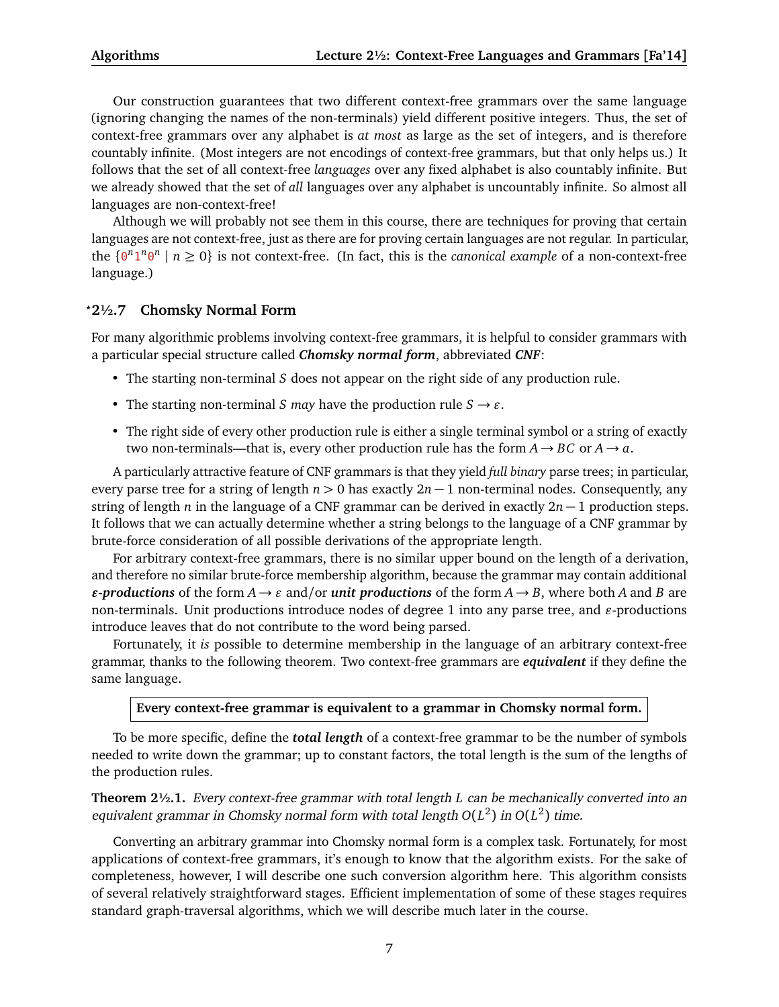Our construction guarantees that two different context-free grammars over the same language (ignoring changing the names of the non-terminals) yield different positive integers. Thus, the set of context-free grammars over any alphabet is *at most* as large as the set of integers, and is therefore countably infinite. (Most integers are not encodings of context-free grammars, but that only helps us.) It follows that the set of all context-free *languages* over any fixed alphabet is also countably infinite. But we already showed that the set of *all* languages over any alphabet is uncountably infinite. So almost all languages are non-context-free!

Although we will probably not see them in this course, there are techniques for proving that certain languages are not context-free, just as there are for proving certain languages are not regular. In particular, the  $\{0^n 1^n 0^n \mid n \ge 0\}$  is not context-free. (In fact, this is the *canonical example* of a non-context-free language.)

### *?***2½.7 Chomsky Normal Form**

For many algorithmic problems involving context-free grammars, it is helpful to consider grammars with a particular special structure called *Chomsky normal form*, abbreviated *CNF*:

- The starting non-terminal *S* does not appear on the right side of any production rule.
- The starting non-terminal *S* may have the production rule  $S \rightarrow \varepsilon$ .
- The right side of every other production rule is either a single terminal symbol or a string of exactly two non-terminals—that is, every other production rule has the form  $A \rightarrow BC$  or  $A \rightarrow a$ .

A particularly attractive feature of CNF grammars is that they yield *full binary* parse trees; in particular, every parse tree for a string of length  $n > 0$  has exactly  $2n - 1$  non-terminal nodes. Consequently, any string of length *n* in the language of a CNF grammar can be derived in exactly 2*n* − 1 production steps. It follows that we can actually determine whether a string belongs to the language of a CNF grammar by brute-force consideration of all possible derivations of the appropriate length.

For arbitrary context-free grammars, there is no similar upper bound on the length of a derivation, and therefore no similar brute-force membership algorithm, because the grammar may contain additional  $\epsilon$ -productions of the form  $A \to \epsilon$  and/or *unit productions* of the form  $A \to B$ , where both *A* and *B* are non-terminals. Unit productions introduce nodes of degree 1 into any parse tree, and  $\varepsilon$ -productions introduce leaves that do not contribute to the word being parsed.

Fortunately, it *is* possible to determine membership in the language of an arbitrary context-free grammar, thanks to the following theorem. Two context-free grammars are *equivalent* if they define the same language.

#### **Every context-free grammar is equivalent to a grammar in Chomsky normal form.**

To be more specific, define the *total length* of a context-free grammar to be the number of symbols needed to write down the grammar; up to constant factors, the total length is the sum of the lengths of the production rules.

**Theorem 2½.1.** Every context-free grammar with total length *L* can be mechanically converted into an equivalent grammar in Chomsky normal form with total length  $O(L^2)$  in  $O(L^2)$  time.

Converting an arbitrary grammar into Chomsky normal form is a complex task. Fortunately, for most applications of context-free grammars, it's enough to know that the algorithm exists. For the sake of completeness, however, I will describe one such conversion algorithm here. This algorithm consists of several relatively straightforward stages. Efficient implementation of some of these stages requires standard graph-traversal algorithms, which we will describe much later in the course.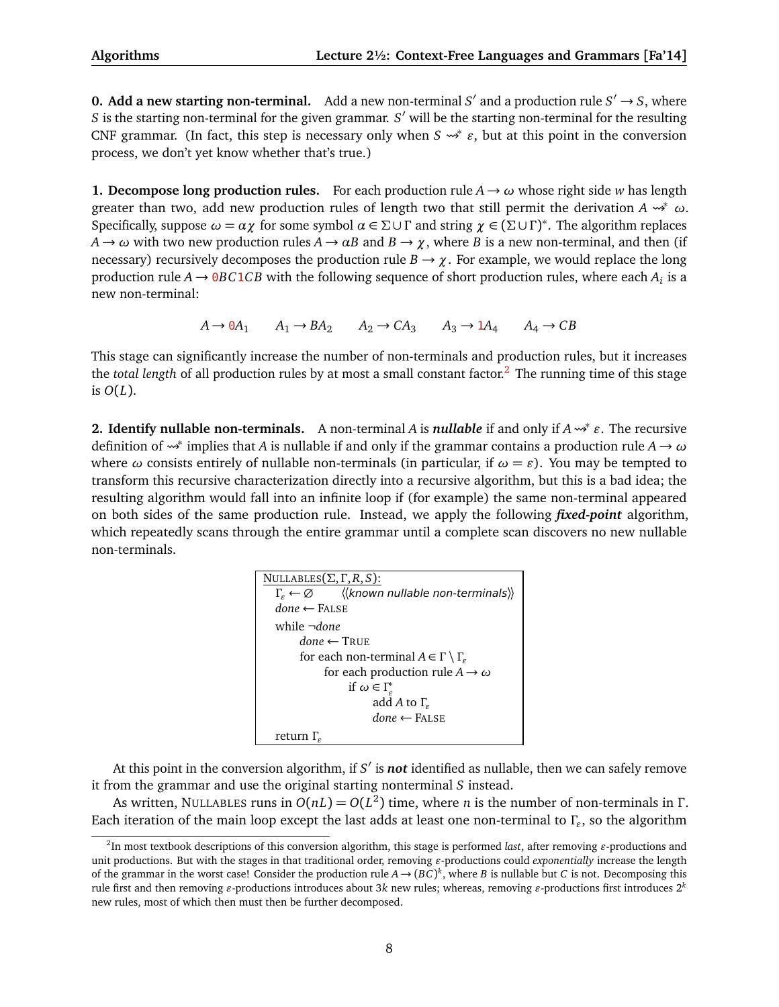**0. Add a new starting non-terminal.** Add a new non-terminal  $S'$  and a production rule  $S' \rightarrow S$ , where *S* is the starting non-terminal for the given grammar. *S'* will be the starting non-terminal for the resulting CNF grammar. (In fact, this step is necessary only when  $S \rightsquigarrow^* \varepsilon$ , but at this point in the conversion process, we don't yet know whether that's true.)

**1. Decompose long production rules.** For each production rule  $A \rightarrow \omega$  whose right side *w* has length greater than two, add new production rules of length two that still permit the derivation  $A \rightarrow^* \omega$ . Specifically, suppose  $\omega = \alpha \chi$  for some symbol  $\alpha \in \Sigma \cup \Gamma$  and string  $\chi \in (\Sigma \cup \Gamma)^*$ . The algorithm replaces  $A \rightarrow \omega$  with two new production rules  $A \rightarrow \alpha B$  and  $B \rightarrow \chi$ , where *B* is a new non-terminal, and then (if necessary) recursively decomposes the production rule  $B \to \chi$ . For example, we would replace the long production rule  $A \to 0$ *BC*1*CB* with the following sequence of short production rules, where each  $A_i$  is a new non-terminal:

 $A \rightarrow 0A_1$   $A_1 \rightarrow BA_2$   $A_2 \rightarrow CA_3$   $A_3 \rightarrow 1A_4$   $A_4 \rightarrow CB$ 

This stage can significantly increase the number of non-terminals and production rules, but it increases the *total length* of all production rules by at most a small constant factor.<sup>[2](#page-7-0)</sup> The running time of this stage is  $O(L)$ .

**2. Identify nullable non-terminals.** A non-terminal *A* is *nullable* if and only if *A* <sup>∗</sup> *"*. The recursive definition of <sup>∗</sup> implies that *A* is nullable if and only if the grammar contains a production rule *A* → *ω* where  $\omega$  consists entirely of nullable non-terminals (in particular, if  $\omega = \varepsilon$ ). You may be tempted to transform this recursive characterization directly into a recursive algorithm, but this is a bad idea; the resulting algorithm would fall into an infinite loop if (for example) the same non-terminal appeared on both sides of the same production rule. Instead, we apply the following *fixed-point* algorithm, which repeatedly scans through the entire grammar until a complete scan discovers no new nullable non-terminals.

| NULLABLES $(\Sigma, \Gamma, R, S)$ :                                           |  |  |  |
|--------------------------------------------------------------------------------|--|--|--|
| $\Gamma_{\varepsilon} \leftarrow \varnothing$ ((known nullable non-terminals)) |  |  |  |
| $done \leftarrow$ FALSE                                                        |  |  |  |
| while $\neg done$                                                              |  |  |  |
| $done \leftarrow \text{TRUE}$                                                  |  |  |  |
| for each non-terminal $A \in \Gamma \setminus \Gamma_{\varepsilon}$            |  |  |  |
| for each production rule $A \rightarrow \omega$                                |  |  |  |
| if $\omega \in \Gamma_c^*$                                                     |  |  |  |
| add A to $\Gamma_{\rm c}$                                                      |  |  |  |
| $done \leftarrow$ FALSE                                                        |  |  |  |
| return $\Gamma_c$                                                              |  |  |  |

At this point in the conversion algorithm, if *S'* is **not** identified as nullable, then we can safely remove it from the grammar and use the original starting nonterminal *S* instead.

As written, NULLABLES runs in  $O(nL) = O(L^2)$  time, where *n* is the number of non-terminals in  $\Gamma$ . Each iteration of the main loop except the last adds at least one non-terminal to *Γ"* , so the algorithm

<span id="page-7-0"></span><sup>&</sup>lt;sup>2</sup>In most textbook descriptions of this conversion algorithm, this stage is performed *last*, after removing  $\varepsilon$ -productions and unit productions. But with the stages in that traditional order, removing  $\varepsilon$ -productions could *exponentially* increase the length of the grammar in the worst case! Consider the production rule  $A\to (BC)^k$ , where *B* is nullable but *C* is not. Decomposing this rule first and then removing  $\varepsilon$ -productions introduces about 3 $k$  new rules; whereas, removing  $\varepsilon$ -productions first introduces 2<sup>k</sup> new rules, most of which then must then be further decomposed.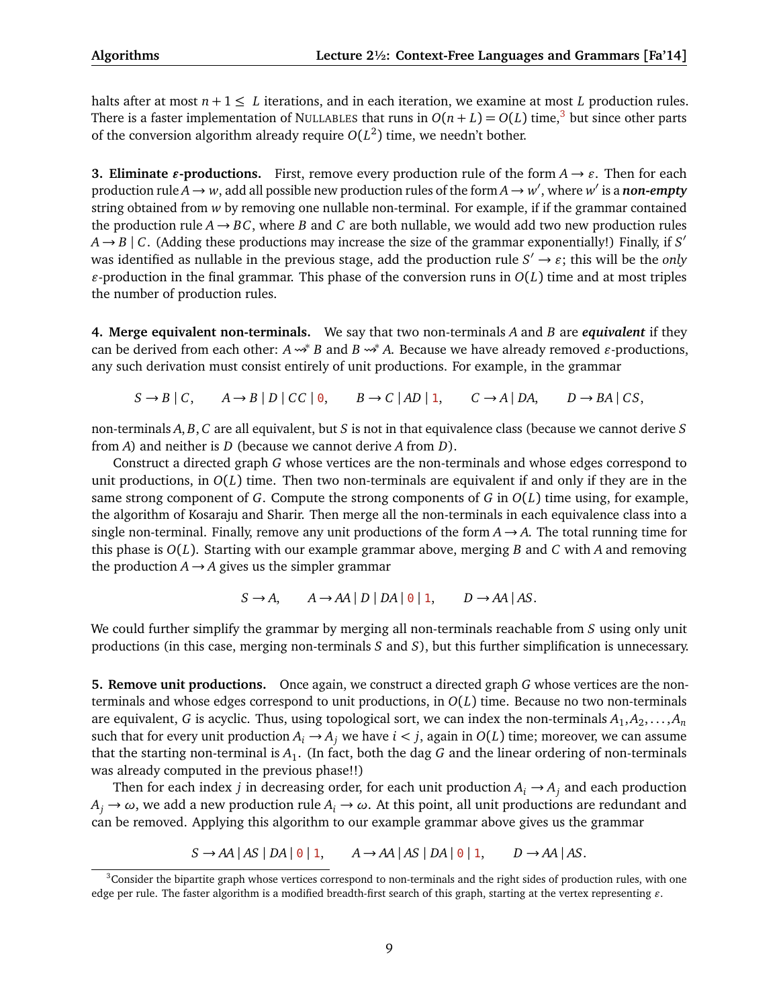halts after at most  $n + 1 \leq L$  iterations, and in each iteration, we examine at most L production rules. There is a faster implementation of NULLABLES that runs in  $O(n+L) = O(L)$  time,<sup>[3](#page-8-0)</sup> but since other parts of the conversion algorithm already require  $O(L^2)$  time, we needn't bother.

**3. Eliminate**  $\varepsilon$ **-productions.** First, remove every production rule of the form  $A \rightarrow \varepsilon$ . Then for each production rule  $A \to w$ , add all possible new production rules of the form  $A \to w'$ , where  $w'$  is a *non-empty* string obtained from *w* by removing one nullable non-terminal. For example, if if the grammar contained the production rule  $A \rightarrow BC$ , where *B* and *C* are both nullable, we would add two new production rules  $A \rightarrow B \mid C$ . (Adding these productions may increase the size of the grammar exponentially!) Finally, if *S'* was identified as nullable in the previous stage, add the production rule  $S' \to \varepsilon$ ; this will be the *only*  $\varepsilon$ -production in the final grammar. This phase of the conversion runs in  $O(L)$  time and at most triples the number of production rules.

**4. Merge equivalent non-terminals.** We say that two non-terminals *A* and *B* are *equivalent* if they can be derived from each other:  $A \rightarrow B$  and  $B \rightarrow A$ . Because we have already removed  $\varepsilon$ -productions, any such derivation must consist entirely of unit productions. For example, in the grammar

 $S \rightarrow B \mid C$ ,  $A \rightarrow B \mid D \mid CC \mid 0$ ,  $B \rightarrow C \mid AD \mid 1$ ,  $C \rightarrow A \mid DA$ ,  $D \rightarrow BA \mid CS$ ,

non-terminals *A*, *B*, *C* are all equivalent, but *S* is not in that equivalence class (because we cannot derive *S* from *A*) and neither is *D* (because we cannot derive *A* from *D*).

Construct a directed graph *G* whose vertices are the non-terminals and whose edges correspond to unit productions, in  $O(L)$  time. Then two non-terminals are equivalent if and only if they are in the same strong component of *G*. Compute the strong components of *G* in *O*(*L*) time using, for example, the algorithm of Kosaraju and Sharir. Then merge all the non-terminals in each equivalence class into a single non-terminal. Finally, remove any unit productions of the form  $A \rightarrow A$ . The total running time for this phase is *O*(*L*). Starting with our example grammar above, merging *B* and *C* with *A* and removing the production  $A \rightarrow A$  gives us the simpler grammar

$$
S \to A, \qquad A \to AA \mid D \mid DA \mid \theta \mid 1, \qquad D \to AA \mid AS.
$$

We could further simplify the grammar by merging all non-terminals reachable from *S* using only unit productions (in this case, merging non-terminals *S* and *S*), but this further simplification is unnecessary.

**5. Remove unit productions.** Once again, we construct a directed graph *G* whose vertices are the nonterminals and whose edges correspond to unit productions, in *O*(*L*) time. Because no two non-terminals are equivalent,  $G$  is acyclic. Thus, using topological sort, we can index the non-terminals  $A_1, A_2, \ldots, A_n$ such that for every unit production  $A_i \rightarrow A_j$  we have  $i < j$ , again in  $O(L)$  time; moreover, we can assume that the starting non-terminal is  $A_1$ . (In fact, both the dag  $G$  and the linear ordering of non-terminals was already computed in the previous phase!!)

Then for each index *j* in decreasing order, for each unit production  $A_i \rightarrow A_j$  and each production  $A_i \rightarrow \omega$ , we add a new production rule  $A_i \rightarrow \omega$ . At this point, all unit productions are redundant and can be removed. Applying this algorithm to our example grammar above gives us the grammar

 $S \rightarrow AA \mid AS \mid DA \mid \theta \mid 1, \quad A \rightarrow AA \mid AS \mid DA \mid \theta \mid 1, \quad D \rightarrow AA \mid AS.$ 

<span id="page-8-0"></span> $3$ Consider the bipartite graph whose vertices correspond to non-terminals and the right sides of production rules, with one edge per rule. The faster algorithm is a modified breadth-first search of this graph, starting at the vertex representing  $\varepsilon$ .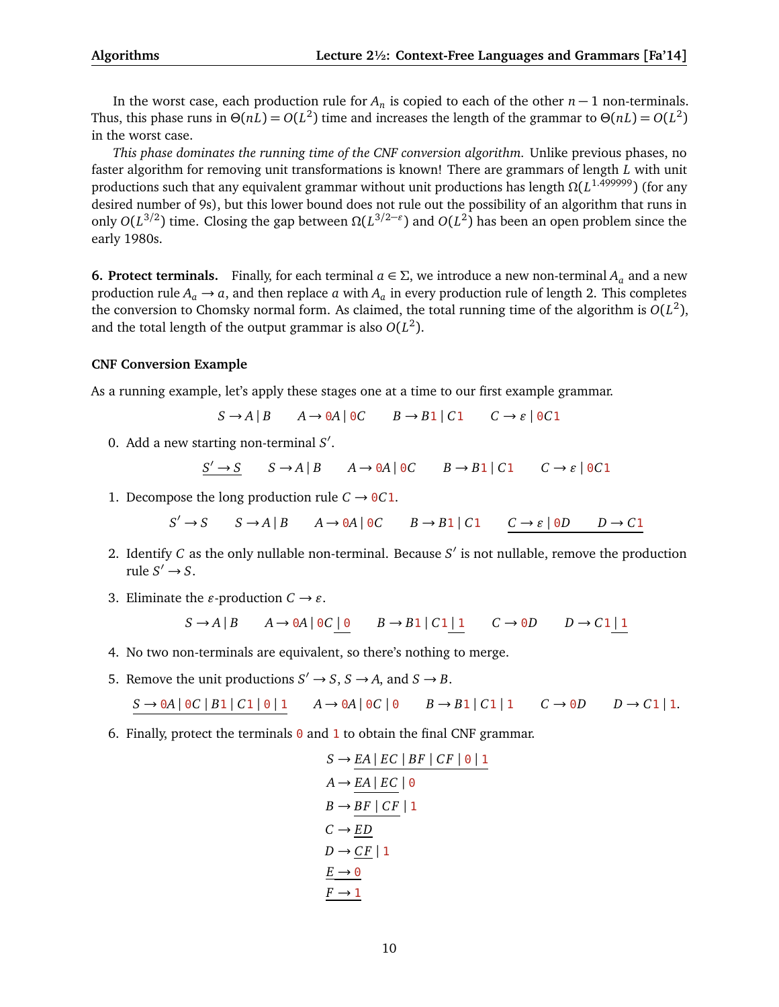In the worst case, each production rule for *A<sup>n</sup>* is copied to each of the other *n* − 1 non-terminals. Thus, this phase runs in  $\Theta(nL) = O(L^2)$  time and increases the length of the grammar to  $\Theta(nL) = O(L^2)$ in the worst case.

*This phase dominates the running time of the CNF conversion algorithm.* Unlike previous phases, no faster algorithm for removing unit transformations is known! There are grammars of length *L* with unit productions such that any equivalent grammar without unit productions has length *Ω*(*L* 1.499999) (for any desired number of 9s), but this lower bound does not rule out the possibility of an algorithm that runs in only *O*(*L* 3*/*2 ) time. Closing the gap between *Ω*(*L* 3*/*2−*"* ) and *O*(*L* 2 ) has been an open problem since the early 1980s.

**6. Protect terminals.** Finally, for each terminal  $a \in \Sigma$ , we introduce a new non-terminal  $A_a$  and a new production rule  $A_a \rightarrow a$ , and then replace *a* with  $A_a$  in every production rule of length 2. This completes the conversion to Chomsky normal form. As claimed, the total running time of the algorithm is  $O(L^2)$ , and the total length of the output grammar is also  $O(L^2)$ .

#### **CNF Conversion Example**

As a running example, let's apply these stages one at a time to our first example grammar.

 $S \rightarrow A \mid B$   $A \rightarrow 0A \mid 0C$   $B \rightarrow B1 \mid C1$   $C \rightarrow \varepsilon \mid 0C1$ 

0. Add a new starting non-terminal *S* 0 .

$$
\underline{S' \to S} \qquad S \to A \mid B \qquad A \to 0A \mid 0C \qquad B \to B1 \mid C1 \qquad C \to \varepsilon \mid 0C1
$$

1. Decompose the long production rule  $C \rightarrow 0C1$ .

$$
S' \to S \qquad S \to A \mid B \qquad A \to 0A \mid 0C \qquad B \to B1 \mid C1 \qquad C \to \varepsilon \mid 0D \qquad D \to C1
$$

- 2. Identify  $C$  as the only nullable non-terminal. Because  $S'$  is not nullable, remove the production rule  $S' \rightarrow S$ .
- 3. Eliminate the  $\varepsilon$ -production  $C \rightarrow \varepsilon$ .

$$
S \to A \mid B \qquad A \to 0A \mid 0C \mid 0 \qquad B \to B1 \mid C1 \mid 1 \qquad C \to 0D \qquad D \to C1 \mid 1
$$

- 4. No two non-terminals are equivalent, so there's nothing to merge.
- 5. Remove the unit productions  $S' \to S$ ,  $S \to A$ , and  $S \to B$ .

$$
S \to 0A \mid 0C \mid B1 \mid C1 \mid 0 \mid 1 \qquad A \to 0A \mid 0C \mid 0 \qquad B \to B1 \mid C1 \mid 1 \qquad C \to 0D \qquad D \to C1 \mid 1.
$$

6. Finally, protect the terminals  $\theta$  and  $1$  to obtain the final CNF grammar.

$$
S \rightarrow \underline{EA} | EC | BF | CF | 0 | 1
$$
  
\n
$$
A \rightarrow \underline{EA} | EC | 0
$$
  
\n
$$
B \rightarrow \underline{BF | CF} | 1
$$
  
\n
$$
C \rightarrow \underline{ED}
$$
  
\n
$$
D \rightarrow \underline{CF} | 1
$$
  
\n
$$
\underline{E \rightarrow 0}
$$
  
\n
$$
\underline{F \rightarrow 1}
$$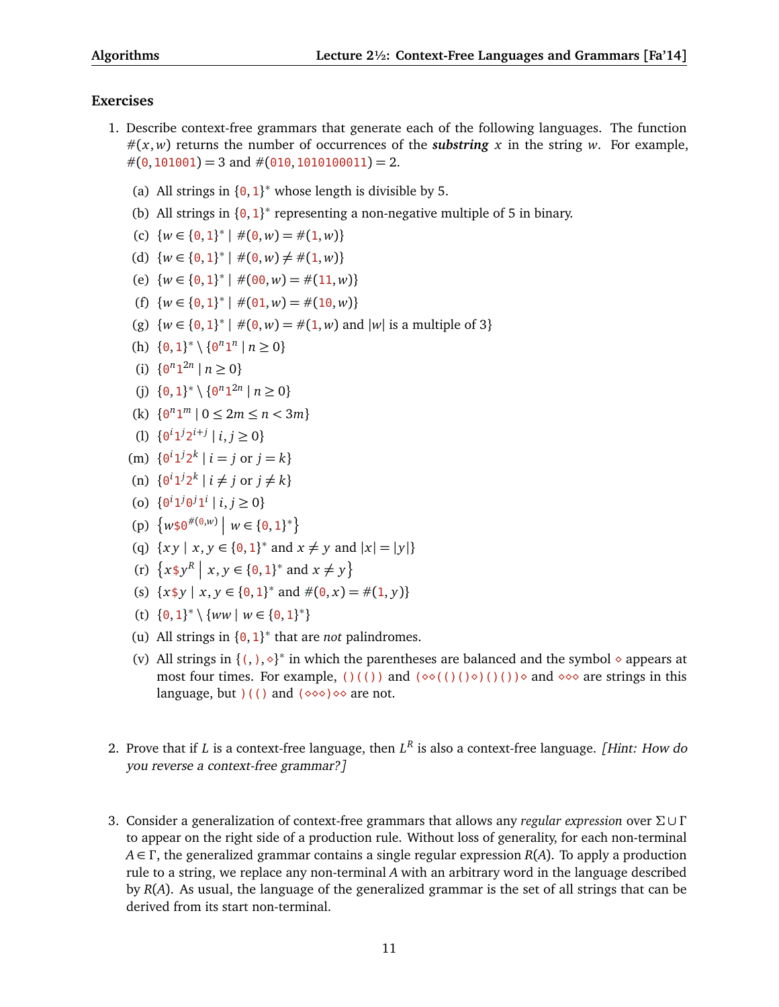### **Exercises**

- 1. Describe context-free grammars that generate each of the following languages. The function  $\#(x, w)$  returns the number of occurrences of the *substring* x in the string w. For example,  $\#(0, 101001) = 3$  and  $\#(010, 1010100011) = 2$ .
	- (a) All strings in  ${0, 1}^*$  whose length is divisible by 5.
	- (b) All strings in  ${0, 1}^*$  representing a non-negative multiple of 5 in binary.
	- (c)  $\{w \in \{0, 1\}^* \mid \#(0, w) = \#(1, w)\}\)$
	- (d)  $\{w \in \{0,1\}^* \mid \#(0, w) \neq \#(1, w)\}\$
	- (e)  $\{w \in \{0, 1\}^* \mid \#(00, w) = \#(11, w)\}\$
	- (f)  $\{w \in \{0, 1\}^* \mid \#(0, 1, w) = \#(1, 0, w)\}$
	- (g)  $\{w \in \{0, 1\}^* \mid \#(0, w) = \#(1, w) \text{ and } |w| \text{ is a multiple of } 3\}$
	- (h)  $\{0, 1\}^* \setminus \{0^n 1^n \mid n \ge 0\}$
	- (i)  $\{0^n 1^{2n} \mid n \ge 0\}$
	- (j)  $\{0, 1\}^* \setminus \{0^n 1^{2n} \mid n \ge 0\}$
	- (k)  $\{0^n1^m \mid 0 \le 2m \le n < 3m\}$
	- (1)  $\{0^i 1^j 2^{i+j} \mid i, j \ge 0\}$
	- (m)  $\{0^i 1^j 2^k \mid i = j \text{ or } j = k\}$
	- (n)  $\{0^i1^j2^k \mid i \neq j \text{ or } j \neq k\}$
	- (o)  $\{0^i 1^j 0^j 1^i \mid i, j \ge 0\}$
	- (p)  $\{w \text{ } \text{\o} \text{ } \theta^{\#(\text{0},w)} \mid w \in \{0,1\}^*\}$
	- (q)  $\{xy \mid x, y \in \{0, 1\}^* \text{ and } x \neq y \text{ and } |x| = |y|\}$
	- (r)  $\{x \, \text{\$y$}^R \mid x, y \in \{0, 1\}^* \text{ and } x \neq y\}$
	- (s)  $\{x \, \text{\$y \mid x, y \in \{0, 1\}^* \text{ and } \#(0, x) = \#(1, y)\}\$
	- (t)  $\{0, 1\}^* \setminus \{ww \mid w \in \{0, 1\}^*\}$
	- (u) All strings in  ${0, 1}^*$  that are *not* palindromes.
	- (v) All strings in  $\{(\, ,\, )\, , \diamond \}^*$  in which the parentheses are balanced and the symbol  $\diamond$  appears at most four times. For example, ()(()) and  $(\diamond\circ(()(\circ)(\circ))$  and  $\diamond\circ\circ$  are strings in this language, but  $($  () and  $($   $\diamond \diamond \diamond) \diamond \diamond$  are not.
- 2. Prove that if *L* is a context-free language, then *L R* is also a context-free language. [Hint: How do you reverse a context-free grammar?]
- 3. Consider a generalization of context-free grammars that allows any *regular expression* over *Σ* ∪ *Γ* to appear on the right side of a production rule. Without loss of generality, for each non-terminal *A* ∈ *Γ* , the generalized grammar contains a single regular expression *R*(*A*). To apply a production rule to a string, we replace any non-terminal *A* with an arbitrary word in the language described by *R*(*A*). As usual, the language of the generalized grammar is the set of all strings that can be derived from its start non-terminal.